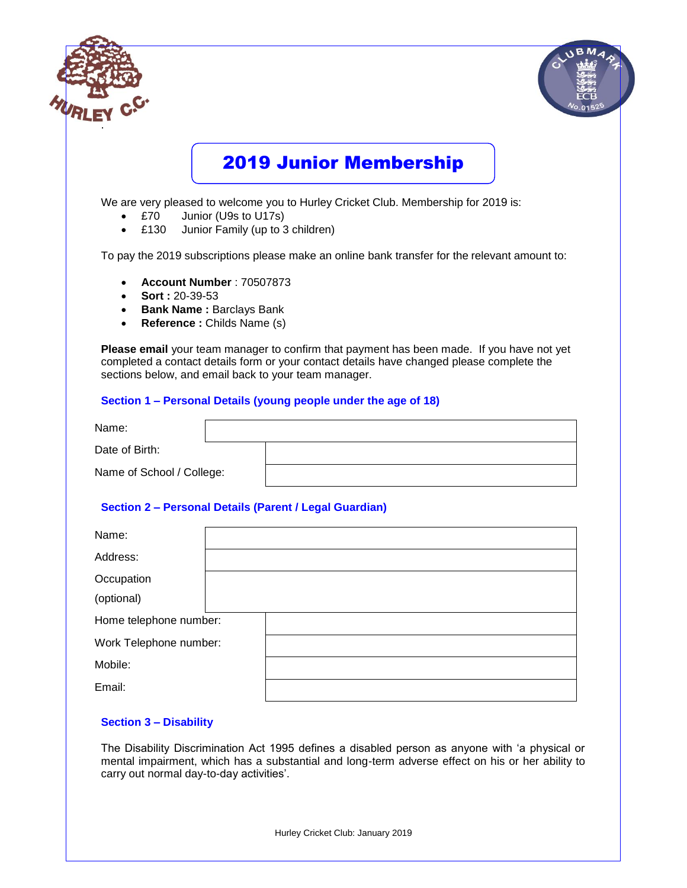|                                       | <b>2019 Junior Membership</b>                                                                                                                                                                                                                                                                                   |
|---------------------------------------|-----------------------------------------------------------------------------------------------------------------------------------------------------------------------------------------------------------------------------------------------------------------------------------------------------------------|
| £70<br>$\bullet$<br>£130<br>$\bullet$ | We are very pleased to welcome you to Hurley Cricket Club. Membership for 2019 is:<br>Junior (U9s to U17s)<br>Junior Family (up to 3 children)                                                                                                                                                                  |
|                                       | To pay the 2019 subscriptions please make an online bank transfer for the relevant amount to:                                                                                                                                                                                                                   |
| <b>Sort: 20-39-53</b><br>$\bullet$    | <b>Bank Name: Barclays Bank</b><br>Reference: Childs Name (s)<br>Please email your team manager to confirm that payment has been made. If you have not yet<br>completed a contact details form or your contact details have changed please complete the<br>sections below, and email back to your team manager. |
|                                       | Section 1 - Personal Details (young people under the age of 18)                                                                                                                                                                                                                                                 |
| Name:                                 |                                                                                                                                                                                                                                                                                                                 |
| Date of Birth:                        |                                                                                                                                                                                                                                                                                                                 |
| Name of School / College:             |                                                                                                                                                                                                                                                                                                                 |
|                                       | Section 2 - Personal Details (Parent / Legal Guardian)                                                                                                                                                                                                                                                          |
| Name:                                 |                                                                                                                                                                                                                                                                                                                 |
| Address:                              |                                                                                                                                                                                                                                                                                                                 |
| Occupation                            |                                                                                                                                                                                                                                                                                                                 |
| (optional)                            |                                                                                                                                                                                                                                                                                                                 |
|                                       |                                                                                                                                                                                                                                                                                                                 |
| Home telephone number:                |                                                                                                                                                                                                                                                                                                                 |
| Work Telephone number:                |                                                                                                                                                                                                                                                                                                                 |
| Mobile:                               |                                                                                                                                                                                                                                                                                                                 |

The Disability Discrimination Act 1995 defines a disabled person as anyone with 'a physical or mental impairment, which has a substantial and long-term adverse effect on his or her ability to carry out normal day-to-day activities'.

Hurley Cricket Club: January 2019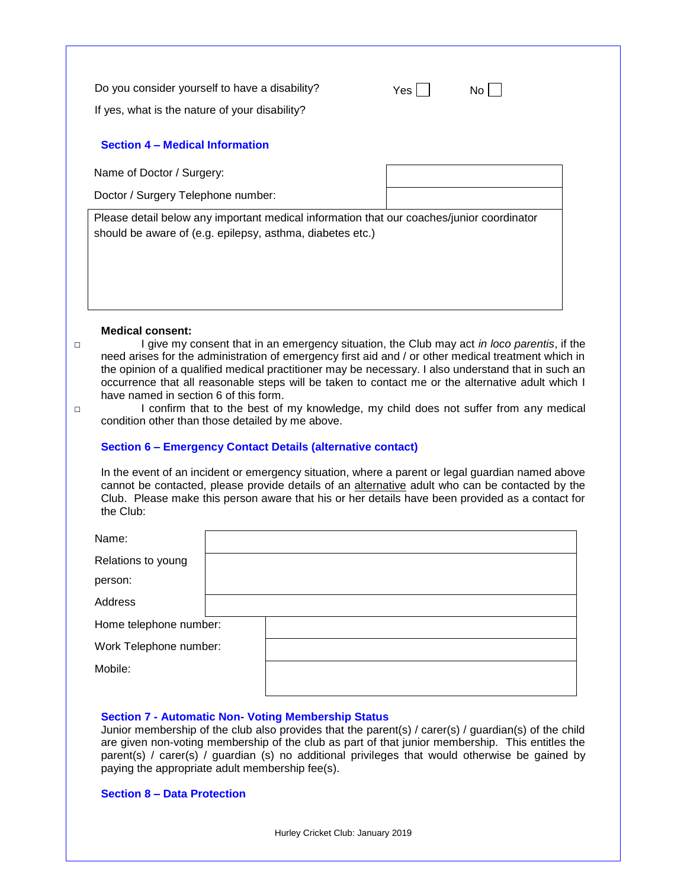Do you consider yourself to have a disability?  $Yes \Box$  No  $\Box$ 

If yes, what is the nature of your disability?

# **Section 4 – Medical Information**

Name of Doctor / Surgery:

Doctor / Surgery Telephone number:

Please detail below any important medical information that our coaches/junior coordinator should be aware of (e.g. epilepsy, asthma, diabetes etc.)

#### **Medical consent:**

□ I give my consent that in an emergency situation, the Club may act *in loco parentis*, if the need arises for the administration of emergency first aid and / or other medical treatment which in the opinion of a qualified medical practitioner may be necessary. I also understand that in such an occurrence that all reasonable steps will be taken to contact me or the alternative adult which I have named in section 6 of this form.

□ I confirm that to the best of my knowledge, my child does not suffer from any medical condition other than those detailed by me above.

### **Section 6 – Emergency Contact Details (alternative contact)**

In the event of an incident or emergency situation, where a parent or legal guardian named above cannot be contacted, please provide details of an alternative adult who can be contacted by the Club. Please make this person aware that his or her details have been provided as a contact for the Club:

| Name:                  |  |  |
|------------------------|--|--|
| Relations to young     |  |  |
| person:                |  |  |
| Address                |  |  |
| Home telephone number: |  |  |
| Work Telephone number: |  |  |
| Mobile:                |  |  |
|                        |  |  |

#### **Section 7 - Automatic Non- Voting Membership Status**

Junior membership of the club also provides that the parent(s) / carer(s) / guardian(s) of the child are given non-voting membership of the club as part of that junior membership. This entitles the parent(s) / carer(s) / guardian (s) no additional privileges that would otherwise be gained by paying the appropriate adult membership fee(s).

## **Section 8 – Data Protection**

Hurley Cricket Club: January 2019